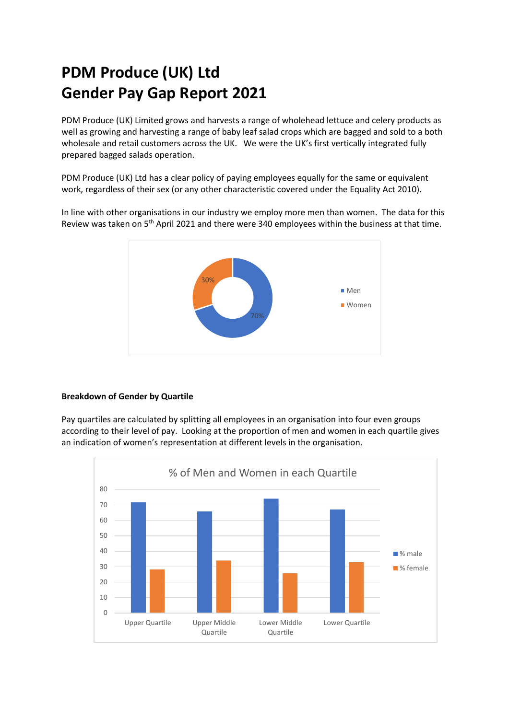# **PDM Produce (UK) Ltd Gender Pay Gap Report 2021**

PDM Produce (UK) Limited grows and harvests a range of wholehead lettuce and celery products as well as growing and harvesting a range of baby leaf salad crops which are bagged and sold to a both wholesale and retail customers across the UK. We were the UK's first vertically integrated fully prepared bagged salads operation.

PDM Produce (UK) Ltd has a clear policy of paying employees equally for the same or equivalent work, regardless of their sex (or any other characteristic covered under the Equality Act 2010).

In line with other organisations in our industry we employ more men than women. The data for this Review was taken on 5<sup>th</sup> April 2021 and there were 340 employees within the business at that time.



# **Breakdown of Gender by Quartile**

Pay quartiles are calculated by splitting all employees in an organisation into four even groups according to their level of pay. Looking at the proportion of men and women in each quartile gives an indication of women's representation at different levels in the organisation.

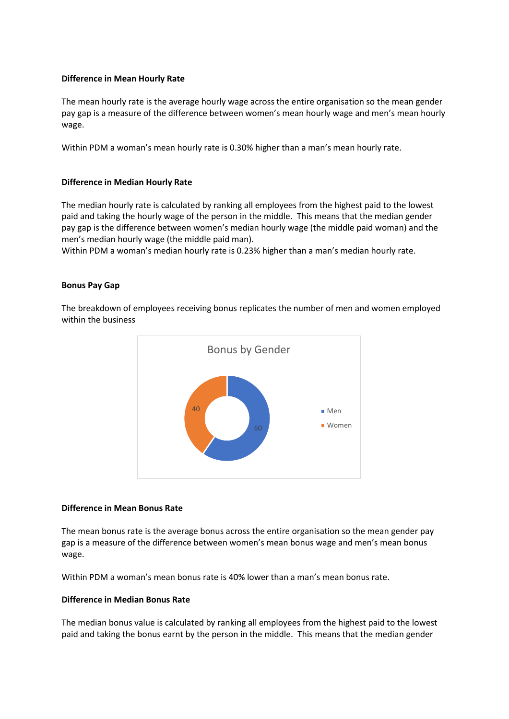# **Difference in Mean Hourly Rate**

The mean hourly rate is the average hourly wage across the entire organisation so the mean gender pay gap is a measure of the difference between women's mean hourly wage and men's mean hourly wage.

Within PDM a woman's mean hourly rate is 0.30% higher than a man's mean hourly rate.

## **Difference in Median Hourly Rate**

The median hourly rate is calculated by ranking all employees from the highest paid to the lowest paid and taking the hourly wage of the person in the middle. This means that the median gender pay gap is the difference between women's median hourly wage (the middle paid woman) and the men's median hourly wage (the middle paid man).

Within PDM a woman's median hourly rate is 0.23% higher than a man's median hourly rate.

## **Bonus Pay Gap**

The breakdown of employees receiving bonus replicates the number of men and women employed within the business



#### **Difference in Mean Bonus Rate**

The mean bonus rate is the average bonus across the entire organisation so the mean gender pay gap is a measure of the difference between women's mean bonus wage and men's mean bonus wage.

Within PDM a woman's mean bonus rate is 40% lower than a man's mean bonus rate.

#### **Difference in Median Bonus Rate**

The median bonus value is calculated by ranking all employees from the highest paid to the lowest paid and taking the bonus earnt by the person in the middle. This means that the median gender